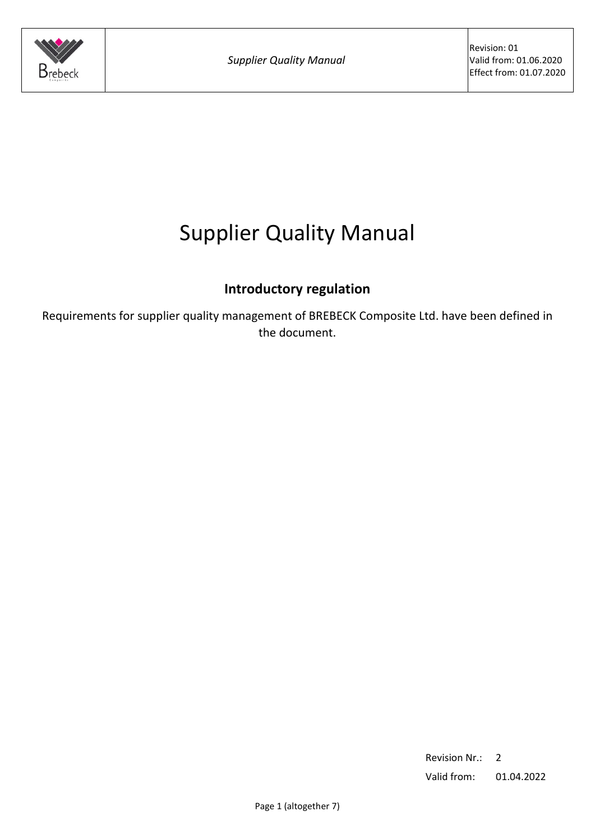

# Supplier Quality Manual

# **Introductory regulation**

Requirements for supplier quality management of BREBECK Composite Ltd. have been defined in the document.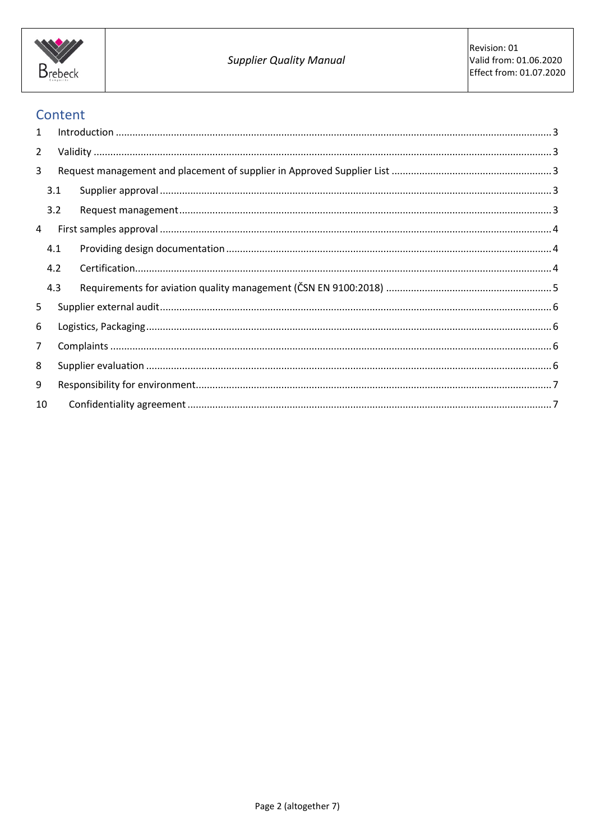

## Content

| 5              |                                 |                                                                                                                                                                                                                                                                                                                                                                                                                                                                  |  |  |
|----------------|---------------------------------|------------------------------------------------------------------------------------------------------------------------------------------------------------------------------------------------------------------------------------------------------------------------------------------------------------------------------------------------------------------------------------------------------------------------------------------------------------------|--|--|
|                |                                 |                                                                                                                                                                                                                                                                                                                                                                                                                                                                  |  |  |
| $\overline{7}$ |                                 |                                                                                                                                                                                                                                                                                                                                                                                                                                                                  |  |  |
|                |                                 |                                                                                                                                                                                                                                                                                                                                                                                                                                                                  |  |  |
|                |                                 |                                                                                                                                                                                                                                                                                                                                                                                                                                                                  |  |  |
| 10             |                                 |                                                                                                                                                                                                                                                                                                                                                                                                                                                                  |  |  |
|                | 3.1<br>3.2<br>4.1<br>4.2<br>4.3 | $\label{lem:1} \mbox{Introduction} \,\, \ldots \,\, \ldots \,\, \ldots \,\, \ldots \,\, \ldots \,\, \ldots \,\, \ldots \,\, \ldots \,\, \ldots \,\, \ldots \,\, \ldots \,\, \ldots \,\, \ldots \,\, \ldots \,\, \ldots \,\, \ldots \,\, \ldots \,\, \ldots \,\, \ldots \,\, \ldots \,\, \ldots \,\, \ldots \,\, \ldots \,\, \ldots \,\, \ldots \,\, \ldots \,\, \ldots \,\, \ldots \,\, \ldots \,\, \ldots \,\, \ldots \,\, \ldots \,\, \ldots \,\, \ldots \,\,$ |  |  |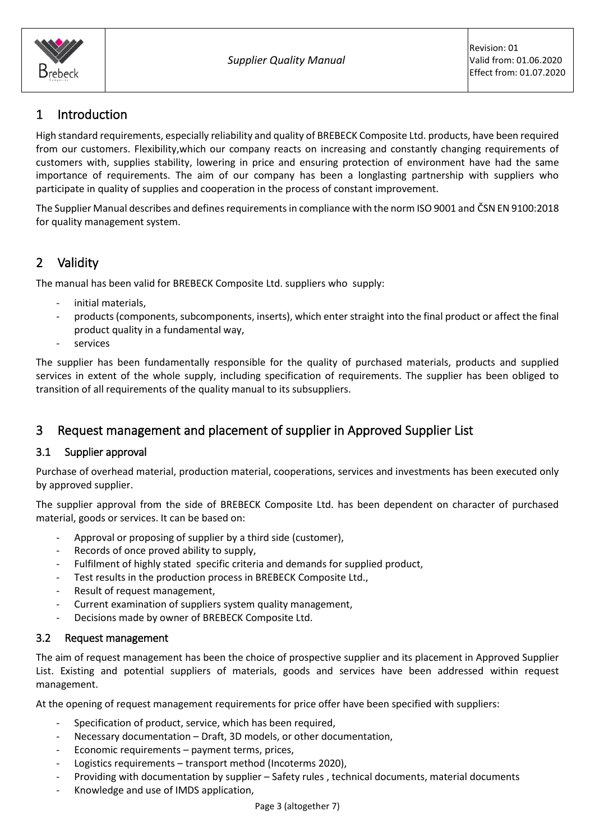

# <span id="page-2-0"></span>1 Introduction

High standard requirements, especially reliability and quality of BREBECK Composite Ltd. products, have been required from our customers. Flexibility,which our company reacts on increasing and constantly changing requirements of customers with, supplies stability, lowering in price and ensuring protection of environment have had the same importance of requirements. The aim of our company has been a longlasting partnership with suppliers who participate in quality of supplies and cooperation in the process of constant improvement.

The Supplier Manual describes and defines requirements in compliance with the norm ISO 9001 and ČSN EN 9100:2018 for quality management system.

## <span id="page-2-1"></span>2 Validity

The manual has been valid for BREBECK Composite Ltd. suppliers who supply:

- initial materials.
- products (components, subcomponents, inserts), which enter straight into the final product or affect the final product quality in a fundamental way,
- services

The supplier has been fundamentally responsible for the quality of purchased materials, products and supplied services in extent of the whole supply, including specification of requirements. The supplier has been obliged to transition of all requirements of the quality manual to its subsuppliers.

### <span id="page-2-2"></span>3 Request management and placement of supplier in Approved Supplier List

#### <span id="page-2-3"></span>3.1 Supplier approval

Purchase of overhead material, production material, cooperations, services and investments has been executed only by approved supplier.

The supplier approval from the side of BREBECK Composite Ltd. has been dependent on character of purchased material, goods or services. It can be based on:

- Approval or proposing of supplier by a third side (customer),
- Records of once proved ability to supply,
- Fulfilment of highly stated specific criteria and demands for supplied product,
- Test results in the production process in BREBECK Composite Ltd.,
- Result of request management,
- Current examination of suppliers system quality management,
- Decisions made by owner of BREBECK Composite Ltd.

#### <span id="page-2-4"></span>3.2 Request management

The aim of request management has been the choice of prospective supplier and its placement in Approved Supplier List. Existing and potential suppliers of materials, goods and services have been addressed within request management.

At the opening of request management requirements for price offer have been specified with suppliers:

- Specification of product, service, which has been required,
- Necessary documentation Draft, 3D models, or other documentation,
- Economic requirements payment terms, prices,
- Logistics requirements transport method (Incoterms 2020),
- Providing with documentation by supplier Safety rules , technical documents, material documents
- Knowledge and use of IMDS application,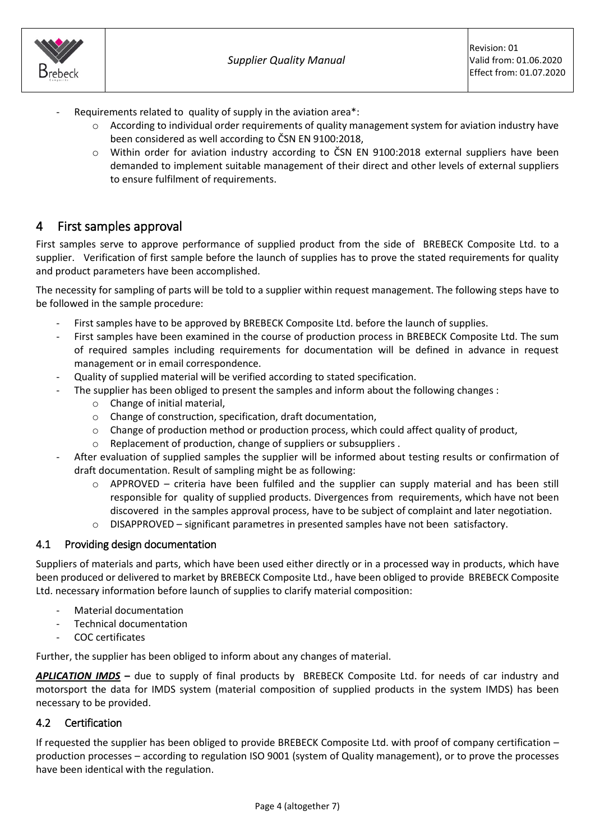

- $\circ$  According to individual order requirements of quality management system for aviation industry have been considered as well according to ČSN EN 9100:2018,
- o Within order for aviation industry according to ČSN EN 9100:2018 external suppliers have been demanded to implement suitable management of their direct and other levels of external suppliers to ensure fulfilment of requirements.

### <span id="page-3-0"></span>4 First samples approval

 $\mathsf{S}$ rebeck

First samples serve to approve performance of supplied product from the side of BREBECK Composite Ltd. to a supplier. Verification of first sample before the launch of supplies has to prove the stated requirements for quality and product parameters have been accomplished.

The necessity for sampling of parts will be told to a supplier within request management. The following steps have to be followed in the sample procedure:

- First samples have to be approved by BREBECK Composite Ltd. before the launch of supplies.
- First samples have been examined in the course of production process in BREBECK Composite Ltd. The sum of required samples including requirements for documentation will be defined in advance in request management or in email correspondence.
- Quality of supplied material will be verified according to stated specification.
- The supplier has been obliged to present the samples and inform about the following changes :
	- o Change of initial material,
	- o Change of construction, specification, draft documentation,
	- $\circ$  Change of production method or production process, which could affect quality of product,
	- o Replacement of production, change of suppliers or subsuppliers .
- After evaluation of supplied samples the supplier will be informed about testing results or confirmation of draft documentation. Result of sampling might be as following:
	- $\circ$  APPROVED criteria have been fulfiled and the supplier can supply material and has been still responsible for quality of supplied products. Divergences from requirements, which have not been discovered in the samples approval process, have to be subject of complaint and later negotiation.
	- o DISAPPROVED significant parametres in presented samples have not been satisfactory.

#### <span id="page-3-1"></span>4.1 Providing design documentation

Suppliers of materials and parts, which have been used either directly or in a processed way in products, which have been produced or delivered to market by BREBECK Composite Ltd., have been obliged to provide BREBECK Composite Ltd. necessary information before launch of supplies to clarify material composition:

- Material documentation
- Technical documentation
- COC certificates

Further, the supplier has been obliged to inform about any changes of material.

*APLICATION IMDS* **–** due to supply of final products by BREBECK Composite Ltd. for needs of car industry and motorsport the data for IMDS system (material composition of supplied products in the system IMDS) has been necessary to be provided.

#### <span id="page-3-2"></span>4.2 Certification

If requested the supplier has been obliged to provide BREBECK Composite Ltd. with proof of company certification – production processes – according to regulation ISO 9001 (system of Quality management), or to prove the processes have been identical with the regulation.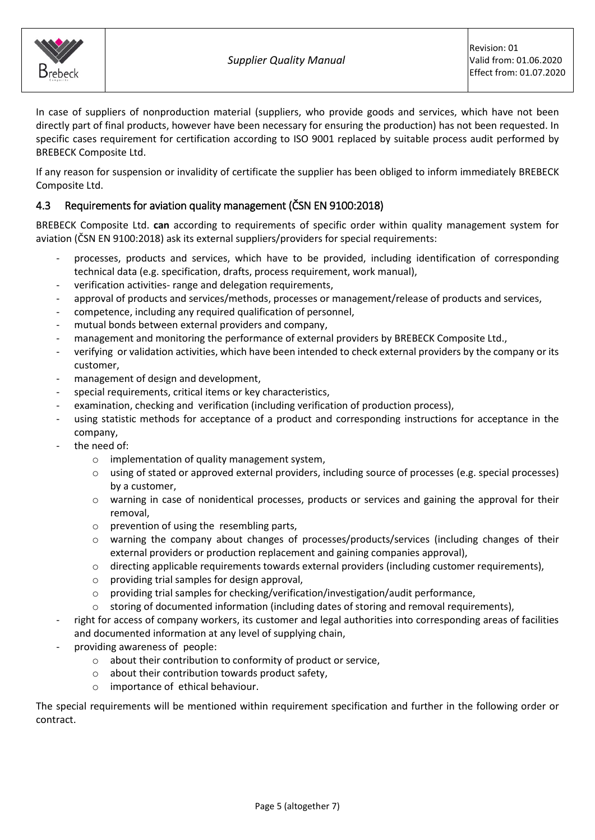

In case of suppliers of nonproduction material (suppliers, who provide goods and services, which have not been directly part of final products, however have been necessary for ensuring the production) has not been requested. In specific cases requirement for certification according to ISO 9001 replaced by suitable process audit performed by BREBECK Composite Ltd.

If any reason for suspension or invalidity of certificate the supplier has been obliged to inform immediately BREBECK Composite Ltd.

### <span id="page-4-0"></span>4.3 Requirements for aviation quality management (ČSN EN 9100:2018)

BREBECK Composite Ltd. **can** according to requirements of specific order within quality management system for aviation (ČSN EN 9100:2018) ask its external suppliers/providers for special requirements:

- processes, products and services, which have to be provided, including identification of corresponding technical data (e.g. specification, drafts, process requirement, work manual),
- verification activities- range and delegation requirements,
- approval of products and services/methods, processes or management/release of products and services,
- competence, including any required qualification of personnel,
- mutual bonds between external providers and company,
- management and monitoring the performance of external providers by BREBECK Composite Ltd.,
- verifying or validation activities, which have been intended to check external providers by the company or its customer,
- management of design and development,
- special requirements, critical items or key characteristics,
- examination, checking and verification (including verification of production process),
- using statistic methods for acceptance of a product and corresponding instructions for acceptance in the company,
- the need of:
	- o implementation of quality management system,
	- o using of stated or approved external providers, including source of processes (e.g. special processes) by a customer,
	- o warning in case of nonidentical processes, products or services and gaining the approval for their removal,
	- o prevention of using the resembling parts,
	- o warning the company about changes of processes/products/services (including changes of their external providers or production replacement and gaining companies approval),
	- o directing applicable requirements towards external providers (including customer requirements),
	- o providing trial samples for design approval,
	- $\circ$  providing trial samples for checking/verification/investigation/audit performance,
	- $\circ$  storing of documented information (including dates of storing and removal requirements),
- right for access of company workers, its customer and legal authorities into corresponding areas of facilities and documented information at any level of supplying chain,
- providing awareness of people:
	- o about their contribution to conformity of product or service,
	- $\circ$  about their contribution towards product safety,
	- o importance of ethical behaviour.

The special requirements will be mentioned within requirement specification and further in the following order or contract.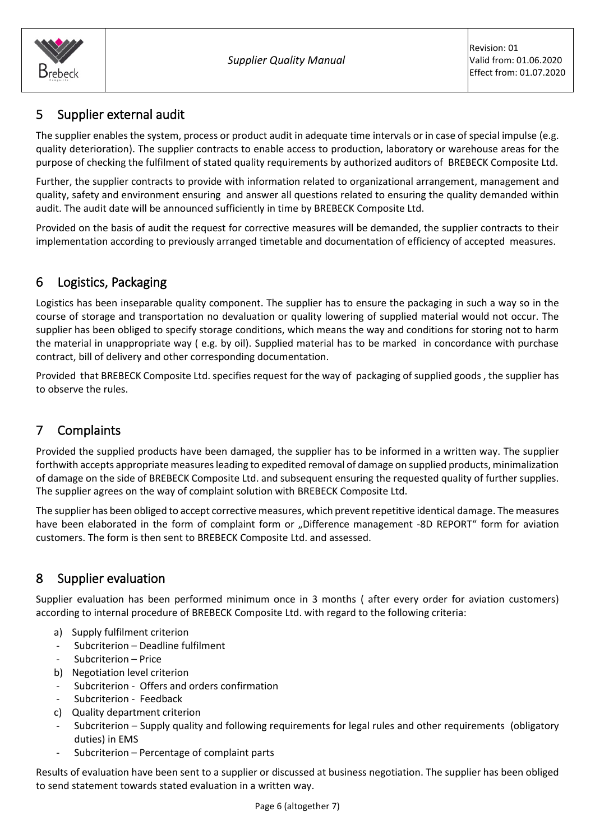

# <span id="page-5-0"></span>5 Supplier external audit

The supplier enables the system, process or product audit in adequate time intervals or in case of special impulse (e.g. quality deterioration). The supplier contracts to enable access to production, laboratory or warehouse areas for the purpose of checking the fulfilment of stated quality requirements by authorized auditors of BREBECK Composite Ltd.

Further, the supplier contracts to provide with information related to organizational arrangement, management and quality, safety and environment ensuring and answer all questions related to ensuring the quality demanded within audit. The audit date will be announced sufficiently in time by BREBECK Composite Ltd.

Provided on the basis of audit the request for corrective measures will be demanded, the supplier contracts to their implementation according to previously arranged timetable and documentation of efficiency of accepted measures.

# <span id="page-5-1"></span>6 Logistics, Packaging

Logistics has been inseparable quality component. The supplier has to ensure the packaging in such a way so in the course of storage and transportation no devaluation or quality lowering of supplied material would not occur. The supplier has been obliged to specify storage conditions, which means the way and conditions for storing not to harm the material in unappropriate way ( e.g. by oil). Supplied material has to be marked in concordance with purchase contract, bill of delivery and other corresponding documentation.

Provided that BREBECK Composite Ltd. specifies request for the way of packaging of supplied goods , the supplier has to observe the rules.

# <span id="page-5-2"></span>7 Complaints

Provided the supplied products have been damaged, the supplier has to be informed in a written way. The supplier forthwith accepts appropriate measures leading to expedited removal of damage on supplied products, minimalization of damage on the side of BREBECK Composite Ltd. and subsequent ensuring the requested quality of further supplies. The supplier agrees on the way of complaint solution with BREBECK Composite Ltd.

The supplier has been obliged to accept corrective measures, which prevent repetitive identical damage. The measures have been elaborated in the form of complaint form or "Difference management -8D REPORT" form for aviation customers. The form is then sent to BREBECK Composite Ltd. and assessed.

# <span id="page-5-3"></span>8 Supplier evaluation

Supplier evaluation has been performed minimum once in 3 months ( after every order for aviation customers) according to internal procedure of BREBECK Composite Ltd. with regard to the following criteria:

- a) Supply fulfilment criterion
- Subcriterion Deadline fulfilment
- Subcriterion Price
- b) Negotiation level criterion
- Subcriterion Offers and orders confirmation
- Subcriterion Feedback
- c) Quality department criterion
- Subcriterion Supply quality and following requirements for legal rules and other requirements (obligatory duties) in EMS
- Subcriterion Percentage of complaint parts

Results of evaluation have been sent to a supplier or discussed at business negotiation. The supplier has been obliged to send statement towards stated evaluation in a written way.